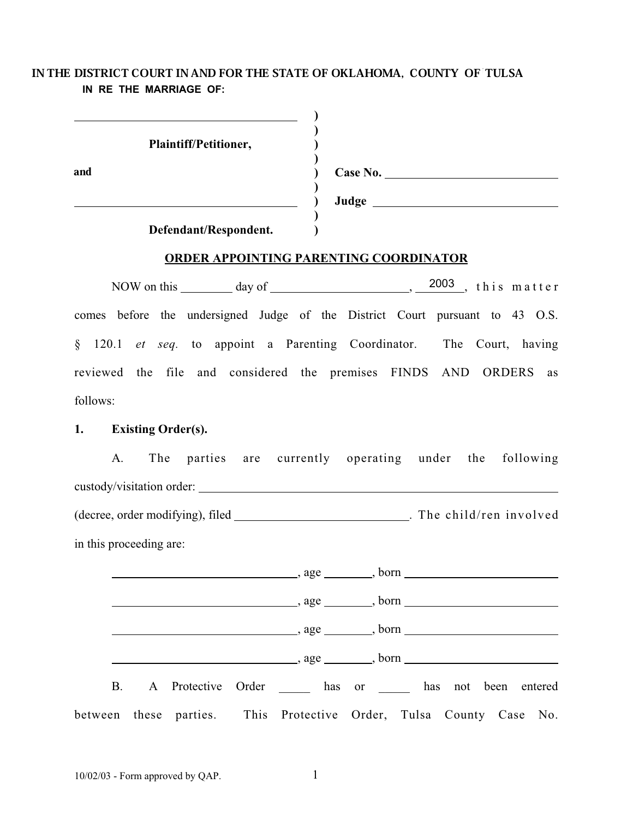# IN THE DISTRICT COURT IN AND FOR THE STATE OF OKLAHOMA, COUNTY OF TULSA **IN RE THE MARRIAGE OF:**

|     | Plaintiff/Petitioner, |          |
|-----|-----------------------|----------|
| and |                       | Case No. |
|     |                       | Judge    |
|     | Defendant/Respondent. |          |

## **ORDER APPOINTING PARENTING COORDINATOR**

NOW on this <u>equal that day of equal controls are a</u>,  $\frac{2003}{\pi}$ , this matter comes before the undersigned Judge of the District Court pursuant to 43 O.S. § 120.1 *et seq.* to appoint a Parenting Coordinator. The Court, having reviewed the file and considered the premises FINDS AND ORDERS as follows:

## **1. Existing Order(s).**

| А. |                         |                           |                                  | The parties are currently operating under the following |  |                          |
|----|-------------------------|---------------------------|----------------------------------|---------------------------------------------------------|--|--------------------------|
|    |                         | custody/visitation order: |                                  |                                                         |  |                          |
|    |                         |                           | (decree, order modifying), filed |                                                         |  | . The child/ren involved |
|    | in this proceeding are: |                           |                                  |                                                         |  |                          |

|  |  | $\frac{1}{1}$ , age $\frac{1}{1}$ , born $\frac{1}{1}$              |  |  |  |
|--|--|---------------------------------------------------------------------|--|--|--|
|  |  |                                                                     |  |  |  |
|  |  |                                                                     |  |  |  |
|  |  | $, age \_$ , born $_$                                               |  |  |  |
|  |  | B. A Protective Order has or has not been entered                   |  |  |  |
|  |  | between these parties. This Protective Order, Tulsa County Case No. |  |  |  |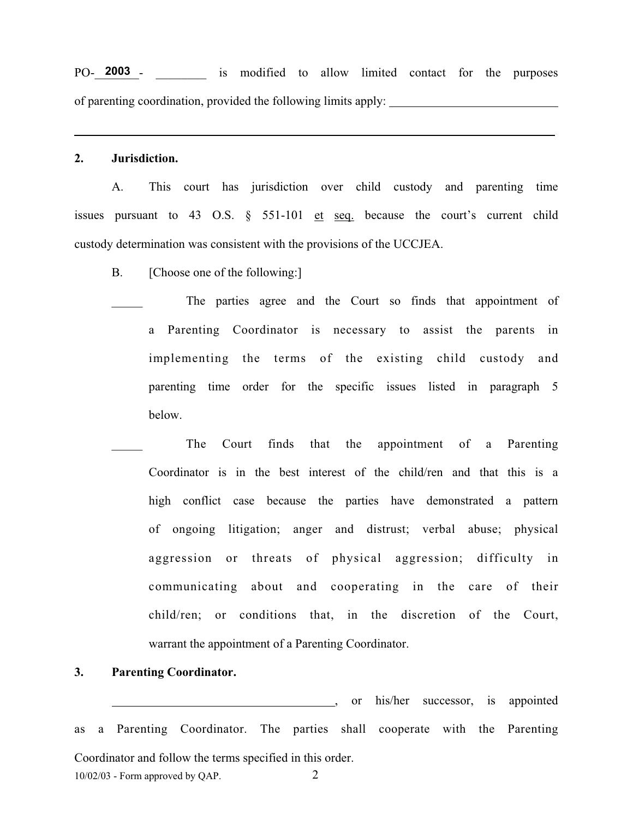PO-<sup>2003</sup> - is modified to allow limited contact for the purposes of parenting coordination, provided the following limits apply:

.

#### **2. Jurisdiction.**

A. This court has jurisdiction over child custody and parenting time issues pursuant to 43 O.S.  $\S$  551-101 et seq. because the court's current child custody determination was consistent with the provisions of the UCCJEA.

- B. [Choose one of the following:]
	- The parties agree and the Court so finds that appointment of a Parenting Coordinator is necessary to assist the parents in implementing the terms of the existing child custody and parenting time order for the specific issues listed in paragraph 5 below.
	- The Court finds that the appointment of a Parenting Coordinator is in the best interest of the child/ren and that this is a high conflict case because the parties have demonstrated a pattern of ongoing litigation; anger and distrust; verbal abuse; physical aggression or threats of physical aggression; difficulty in communicating about and cooperating in the care of their child/ren; or conditions that, in the discretion of the Court, warrant the appointment of a Parenting Coordinator.

### **3. Parenting Coordinator.**

 $10/02/03$  - Form approved by QAP.  $2$ , or his/her successor, is appointed as a Parenting Coordinator. The parties shall cooperate with the Parenting Coordinator and follow the terms specified in this order.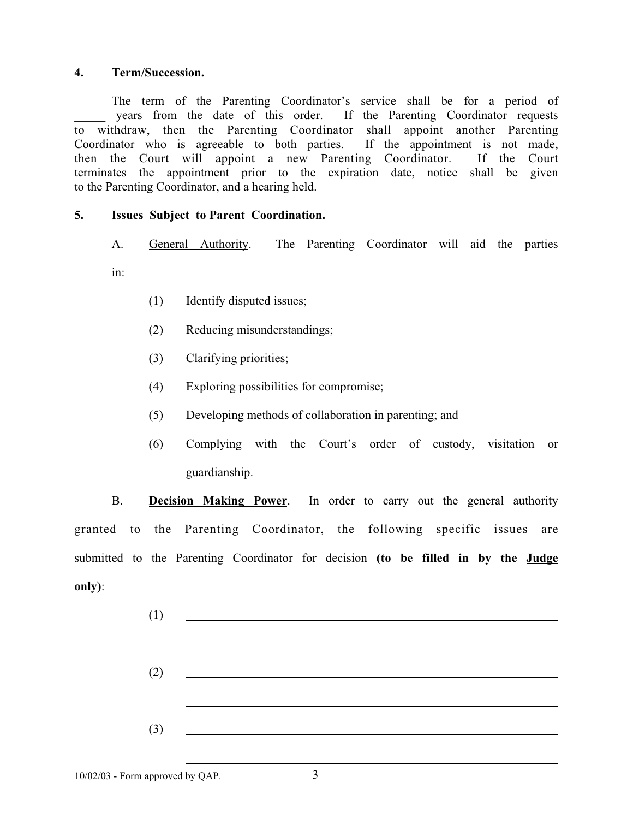## **4. Term/Succession.**

The term of the Parenting Coordinator's service shall be for a period of years from the date of this order. If the Parenting Coordinator requests to withdraw, then the Parenting Coordinator shall appoint another Parenting Coordinator who is agreeable to both parties. If the appointment is not made, then the Court will appoint a new Parenting Coordinator. If the Court terminates the appointment prior to the expiration date, notice shall be given to the Parenting Coordinator, and a hearing held.

## **5. Issues Subject to Parent Coordination.**

A. General Authority. The Parenting Coordinator will aid the parties

in:

- (1) Identify disputed issues;
- (2) Reducing misunderstandings;
- (3) Clarifying priorities;
- (4) Exploring possibilities for compromise;
- (5) Developing methods of collaboration in parenting; and
- (6) Complying with the Court's order of custody, visitation or guardianship.

B. **Decision Making Power**. In order to carry out the general authority granted to the Parenting Coordinator, the following specific issues are submitted to the Parenting Coordinator for decision **(to be filled in by the Judge only)**:

| $(1) \qquad \qquad \underbrace{\qquad \qquad }$                                                                                                                                                                                                                                                                                                                                      |  |
|--------------------------------------------------------------------------------------------------------------------------------------------------------------------------------------------------------------------------------------------------------------------------------------------------------------------------------------------------------------------------------------|--|
|                                                                                                                                                                                                                                                                                                                                                                                      |  |
| $(2)$ $\qquad \qquad$                                                                                                                                                                                                                                                                                                                                                                |  |
|                                                                                                                                                                                                                                                                                                                                                                                      |  |
|                                                                                                                                                                                                                                                                                                                                                                                      |  |
| $\overline{3}$ $\overline{2}$ $\overline{3}$ $\overline{3}$ $\overline{3}$ $\overline{3}$ $\overline{3}$ $\overline{3}$ $\overline{3}$ $\overline{3}$ $\overline{3}$ $\overline{3}$ $\overline{3}$ $\overline{3}$ $\overline{3}$ $\overline{3}$ $\overline{3}$ $\overline{3}$ $\overline{3}$ $\overline{3}$ $\overline{3}$ $\overline{3}$ $\overline{3}$ $\overline{3}$ $\overline{$ |  |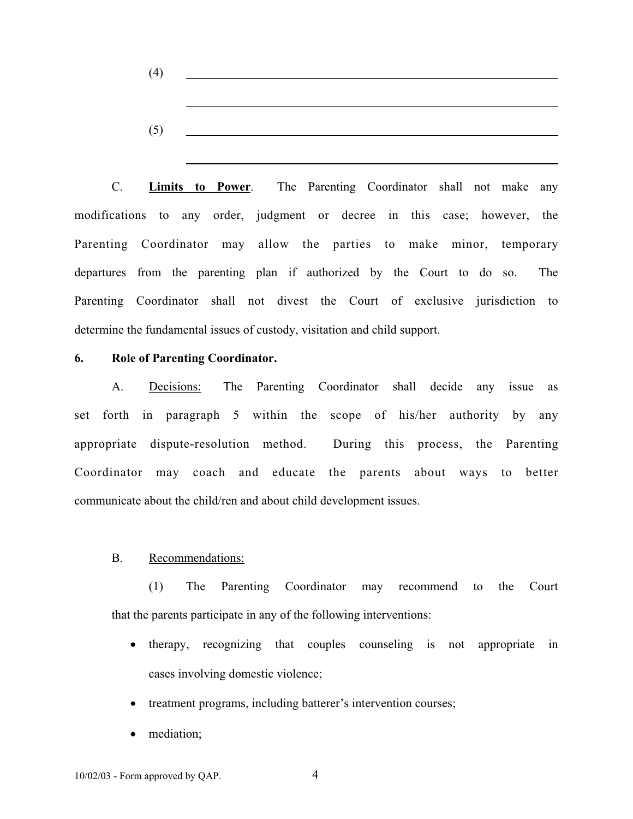| (4) | <u> 1989 - John Stein, Amerikaansk politiker (</u> |  |  |
|-----|----------------------------------------------------|--|--|
|     |                                                    |  |  |
|     |                                                    |  |  |
| (5) |                                                    |  |  |

C. **Limits to Power**. The Parenting Coordinator shall not make any modifications to any order, judgment or decree in this case; however, the Parenting Coordinator may allow the parties to make minor, temporary departures from the parenting plan if authorized by the Court to do so. The Parenting Coordinator shall not divest the Court of exclusive jurisdiction to determine the fundamental issues of custody, visitation and child support.

## **6. Role of Parenting Coordinator.**

A. Decisions: The Parenting Coordinator shall decide any issue as set forth in paragraph 5 within the scope of his/her authority by any appropriate dispute-resolution method. During this process, the Parenting Coordinator may coach and educate the parents about ways to better communicate about the child/ren and about child development issues.

### B. Recommendations:

(1) The Parenting Coordinator may recommend to the Court that the parents participate in any of the following interventions:

- therapy, recognizing that couples counseling is not appropriate in cases involving domestic violence;
- treatment programs, including batterer's intervention courses;
- mediation;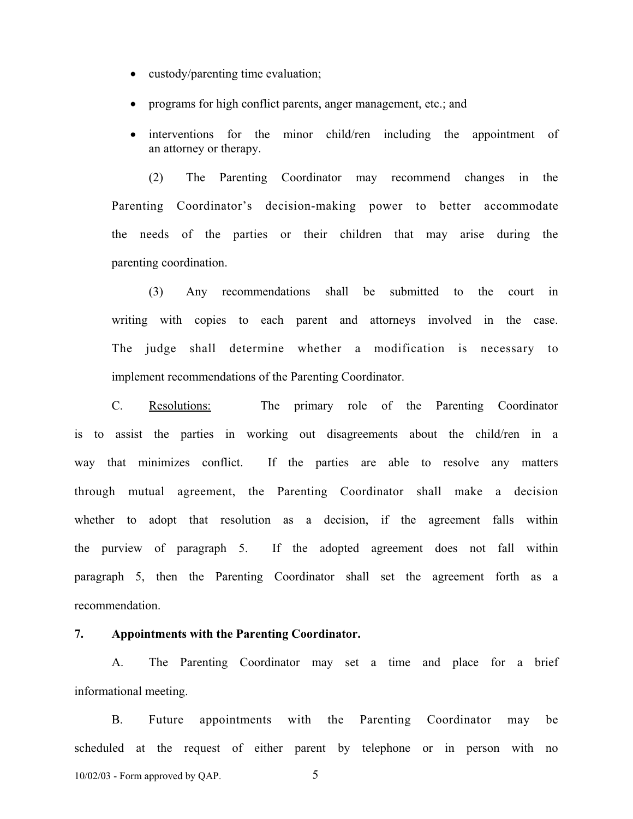- custody/parenting time evaluation;
- programs for high conflict parents, anger management, etc.; and
- interventions for the minor child/ren including the appointment of an attorney or therapy.

(2) The Parenting Coordinator may recommend changes in the Parenting Coordinator's decision-making power to better accommodate the needs of the parties or their children that may arise during the parenting coordination.

(3) Any recommendations shall be submitted to the court in writing with copies to each parent and attorneys involved in the case. The judge shall determine whether a modification is necessary to implement recommendations of the Parenting Coordinator.

C. Resolutions: The primary role of the Parenting Coordinator is to assist the parties in working out disagreements about the child/ren in a way that minimizes conflict. If the parties are able to resolve any matters through mutual agreement, the Parenting Coordinator shall make a decision whether to adopt that resolution as a decision, if the agreement falls within the purview of paragraph 5. If the adopted agreement does not fall within paragraph 5, then the Parenting Coordinator shall set the agreement forth as a recommendation.

#### **7. Appointments with the Parenting Coordinator.**

A. The Parenting Coordinator may set a time and place for a brief informational meeting.

 $10/02/03$  - Form approved by QAP.  $5$ B. Future appointments with the Parenting Coordinator may be scheduled at the request of either parent by telephone or in person with no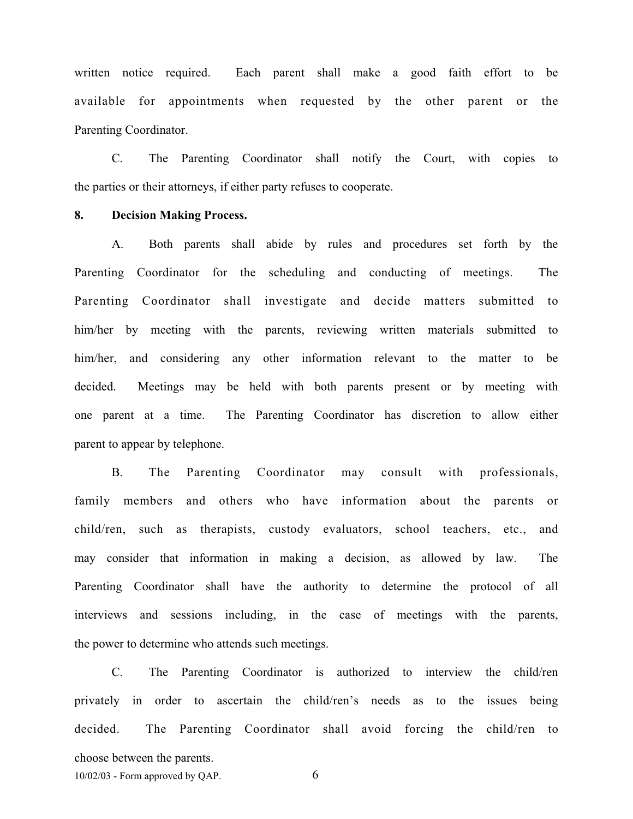written notice required. Each parent shall make a good faith effort to be available for appointments when requested by the other parent or the Parenting Coordinator.

C. The Parenting Coordinator shall notify the Court, with copies to the parties or their attorneys, if either party refuses to cooperate.

#### **8. Decision Making Process.**

A. Both parents shall abide by rules and procedures set forth by the Parenting Coordinator for the scheduling and conducting of meetings. The Parenting Coordinator shall investigate and decide matters submitted to him/her by meeting with the parents, reviewing written materials submitted to him/her, and considering any other information relevant to the matter to be decided. Meetings may be held with both parents present or by meeting with one parent at a time. The Parenting Coordinator has discretion to allow either parent to appear by telephone.

B. The Parenting Coordinator may consult with professionals, family members and others who have information about the parents or child/ren, such as therapists, custody evaluators, school teachers, etc., and may consider that information in making a decision, as allowed by law. The Parenting Coordinator shall have the authority to determine the protocol of all interviews and sessions including, in the case of meetings with the parents, the power to determine who attends such meetings.

C. The Parenting Coordinator is authorized to interview the child/ren privately in order to ascertain the child/ren's needs as to the issues being decided. The Parenting Coordinator shall avoid forcing the child/ren to choose between the parents.

 $10/02/03$  - Form approved by QAP. 6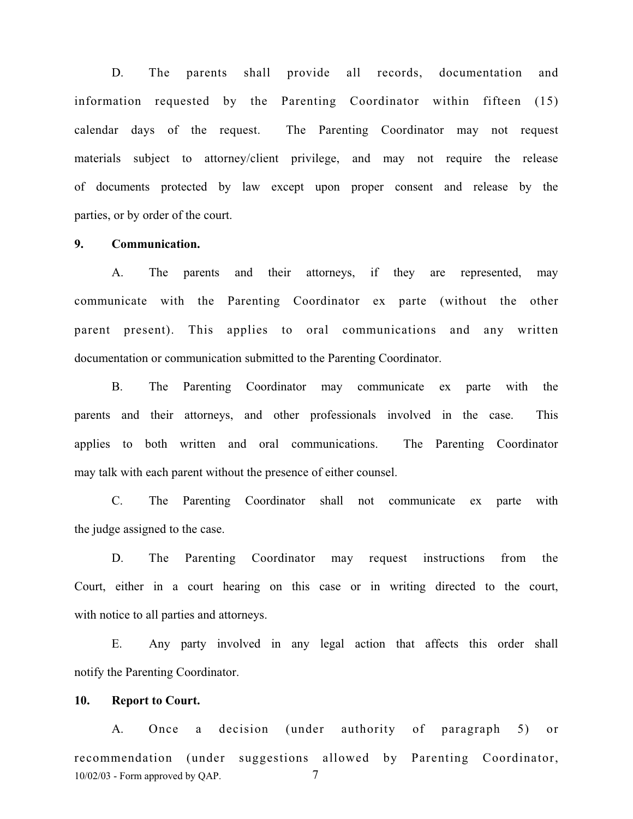D. The parents shall provide all records, documentation and information requested by the Parenting Coordinator within fifteen (15) calendar days of the request. The Parenting Coordinator may not request materials subject to attorney/client privilege, and may not require the release of documents protected by law except upon proper consent and release by the parties, or by order of the court.

### **9. Communication.**

A. The parents and their attorneys, if they are represented, may communicate with the Parenting Coordinator ex parte (without the other parent present). This applies to oral communications and any written documentation or communication submitted to the Parenting Coordinator.

B. The Parenting Coordinator may communicate ex parte with the parents and their attorneys, and other professionals involved in the case. This applies to both written and oral communications. The Parenting Coordinator may talk with each parent without the presence of either counsel.

C. The Parenting Coordinator shall not communicate ex parte with the judge assigned to the case.

D. The Parenting Coordinator may request instructions from the Court, either in a court hearing on this case or in writing directed to the court, with notice to all parties and attorneys.

E. Any party involved in any legal action that affects this order shall notify the Parenting Coordinator.

### **10. Report to Court.**

 $10/02/03$  - Form approved by QAP.  $7$ A. Once a decision (under authority of paragraph 5) or recommendation (under suggestions allowed by Parenting Coordinator,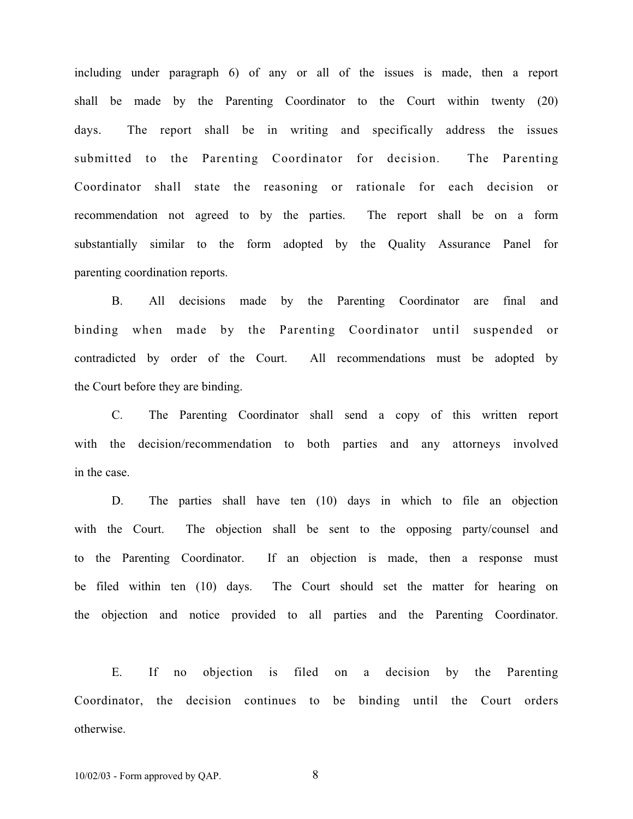including under paragraph 6) of any or all of the issues is made, then a report shall be made by the Parenting Coordinator to the Court within twenty (20) days. The report shall be in writing and specifically address the issues submitted to the Parenting Coordinator for decision. The Parenting Coordinator shall state the reasoning or rationale for each decision or recommendation not agreed to by the parties. The report shall be on a form substantially similar to the form adopted by the Quality Assurance Panel for parenting coordination reports.

B. All decisions made by the Parenting Coordinator are final and binding when made by the Parenting Coordinator until suspended or contradicted by order of the Court. All recommendations must be adopted by the Court before they are binding.

C. The Parenting Coordinator shall send a copy of this written report with the decision/recommendation to both parties and any attorneys involved in the case.

D. The parties shall have ten (10) days in which to file an objection with the Court. The objection shall be sent to the opposing party/counsel and to the Parenting Coordinator. If an objection is made, then a response must be filed within ten (10) days. The Court should set the matter for hearing on the objection and notice provided to all parties and the Parenting Coordinator.

E. If no objection is filed on a decision by the Parenting Coordinator, the decision continues to be binding until the Court orders otherwise.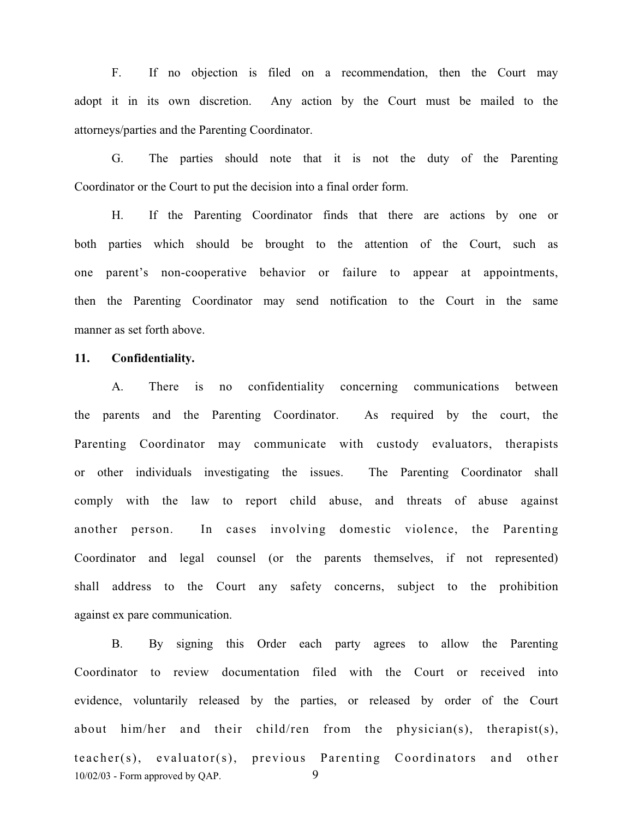F. If no objection is filed on a recommendation, then the Court may adopt it in its own discretion. Any action by the Court must be mailed to the attorneys/parties and the Parenting Coordinator.

G. The parties should note that it is not the duty of the Parenting Coordinator or the Court to put the decision into a final order form.

H. If the Parenting Coordinator finds that there are actions by one or both parties which should be brought to the attention of the Court, such as one parent's non-cooperative behavior or failure to appear at appointments, then the Parenting Coordinator may send notification to the Court in the same manner as set forth above.

### **11. Confidentiality.**

A. There is no confidentiality concerning communications between the parents and the Parenting Coordinator. As required by the court, the Parenting Coordinator may communicate with custody evaluators, therapists or other individuals investigating the issues. The Parenting Coordinator shall comply with the law to report child abuse, and threats of abuse against another person. In cases involving domestic violence, the Parenting Coordinator and legal counsel (or the parents themselves, if not represented) shall address to the Court any safety concerns, subject to the prohibition against ex pare communication.

 $10/02/03$  - Form approved by QAP.  $9$ B. By signing this Order each party agrees to allow the Parenting Coordinator to review documentation filed with the Court or received into evidence, voluntarily released by the parties, or released by order of the Court about him/her and their child/ren from the physician(s), therapist(s), teacher(s), evaluator(s), previous Parenting Coordinators and other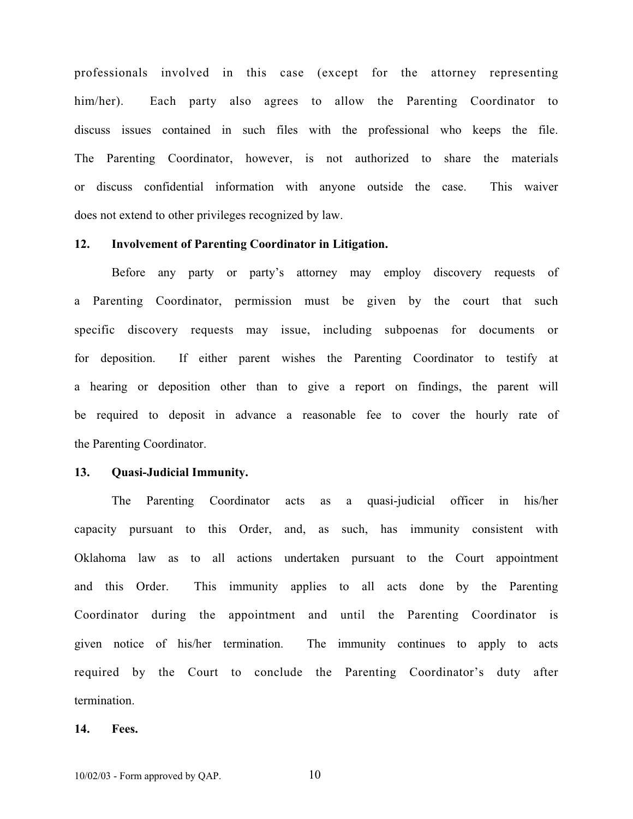professionals involved in this case (except for the attorney representing him/her). Each party also agrees to allow the Parenting Coordinator to discuss issues contained in such files with the professional who keeps the file. The Parenting Coordinator, however, is not authorized to share the materials or discuss confidential information with anyone outside the case. This waiver does not extend to other privileges recognized by law.

#### **12. Involvement of Parenting Coordinator in Litigation.**

Before any party or party's attorney may employ discovery requests of a Parenting Coordinator, permission must be given by the court that such specific discovery requests may issue, including subpoenas for documents or for deposition. If either parent wishes the Parenting Coordinator to testify at a hearing or deposition other than to give a report on findings, the parent will be required to deposit in advance a reasonable fee to cover the hourly rate of the Parenting Coordinator.

#### **13. Quasi-Judicial Immunity.**

The Parenting Coordinator acts as a quasi-judicial officer in his/her capacity pursuant to this Order, and, as such, has immunity consistent with Oklahoma law as to all actions undertaken pursuant to the Court appointment and this Order. This immunity applies to all acts done by the Parenting Coordinator during the appointment and until the Parenting Coordinator is given notice of his/her termination. The immunity continues to apply to acts required by the Court to conclude the Parenting Coordinator's duty after termination.

#### **14. Fees.**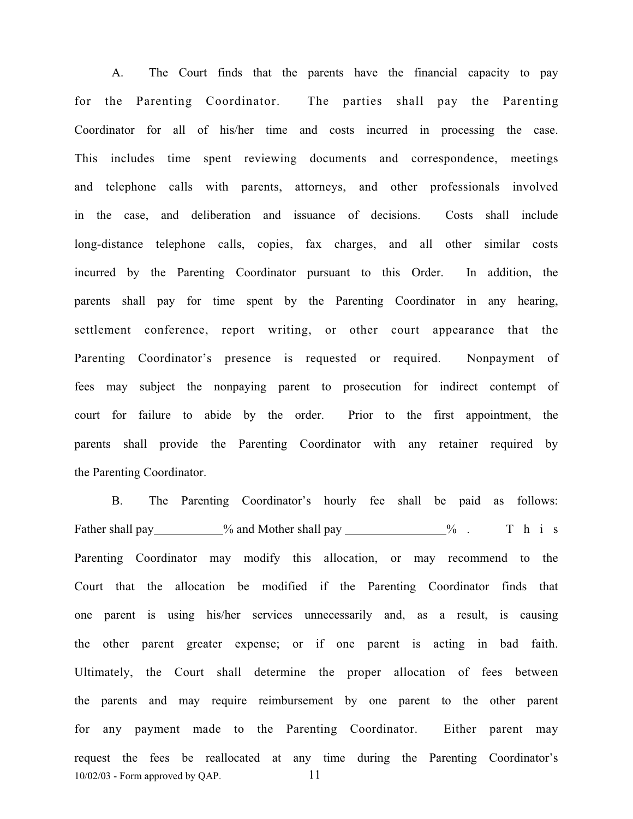A. The Court finds that the parents have the financial capacity to pay for the Parenting Coordinator. The parties shall pay the Parenting Coordinator for all of his/her time and costs incurred in processing the case. This includes time spent reviewing documents and correspondence, meetings and telephone calls with parents, attorneys, and other professionals involved in the case, and deliberation and issuance of decisions. Costs shall include long-distance telephone calls, copies, fax charges, and all other similar costs incurred by the Parenting Coordinator pursuant to this Order. In addition, the parents shall pay for time spent by the Parenting Coordinator in any hearing, settlement conference, report writing, or other court appearance that the Parenting Coordinator's presence is requested or required. Nonpayment of fees may subject the nonpaying parent to prosecution for indirect contempt of court for failure to abide by the order. Prior to the first appointment, the parents shall provide the Parenting Coordinator with any retainer required by the Parenting Coordinator.

 $10/02/03$  - Form approved by QAP.  $11$ B. The Parenting Coordinator's hourly fee shall be paid as follows: Father shall pay  $\%$  and Mother shall pay  $\%$  . This Parenting Coordinator may modify this allocation, or may recommend to the Court that the allocation be modified if the Parenting Coordinator finds that one parent is using his/her services unnecessarily and, as a result, is causing the other parent greater expense; or if one parent is acting in bad faith. Ultimately, the Court shall determine the proper allocation of fees between the parents and may require reimbursement by one parent to the other parent for any payment made to the Parenting Coordinator. Either parent may request the fees be reallocated at any time during the Parenting Coordinator's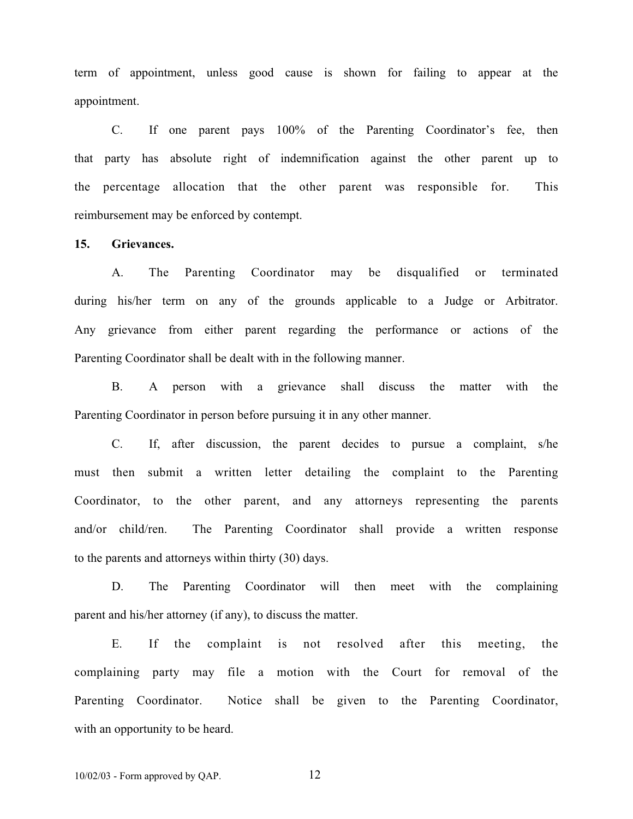term of appointment, unless good cause is shown for failing to appear at the appointment.

C. If one parent pays 100% of the Parenting Coordinator's fee, then that party has absolute right of indemnification against the other parent up to the percentage allocation that the other parent was responsible for. This reimbursement may be enforced by contempt.

#### **15. Grievances.**

A. The Parenting Coordinator may be disqualified or terminated during his/her term on any of the grounds applicable to a Judge or Arbitrator. Any grievance from either parent regarding the performance or actions of the Parenting Coordinator shall be dealt with in the following manner.

B. A person with a grievance shall discuss the matter with the Parenting Coordinator in person before pursuing it in any other manner.

C. If, after discussion, the parent decides to pursue a complaint, s/he must then submit a written letter detailing the complaint to the Parenting Coordinator, to the other parent, and any attorneys representing the parents and/or child/ren. The Parenting Coordinator shall provide a written response to the parents and attorneys within thirty (30) days.

D. The Parenting Coordinator will then meet with the complaining parent and his/her attorney (if any), to discuss the matter.

E. If the complaint is not resolved after this meeting, the complaining party may file a motion with the Court for removal of the Parenting Coordinator. Notice shall be given to the Parenting Coordinator, with an opportunity to be heard.